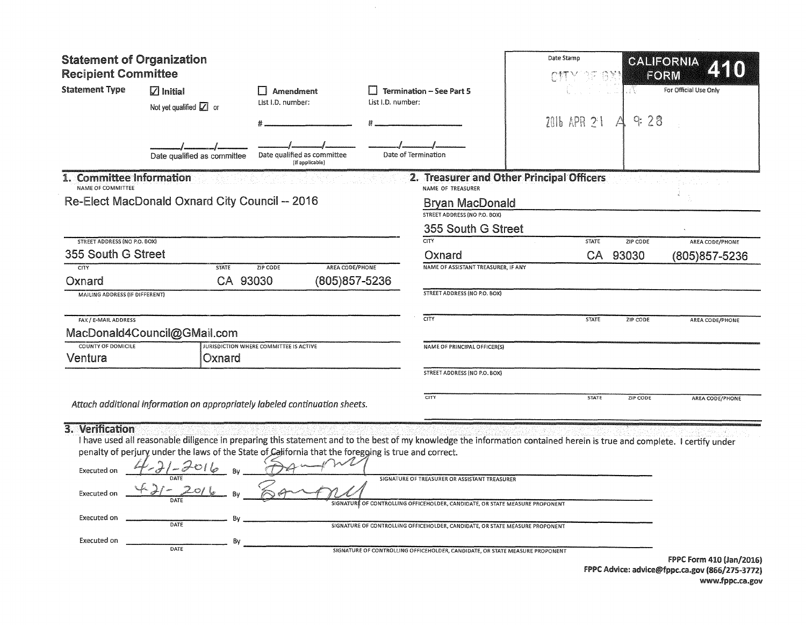| <b>Statement of Organization</b><br><b>Recipient Committee</b>              |                                                                                                                                                                                                                                                                                                                                    |                                                |                                                      | Date Stamp                                                                                                                                                                                                                                                                                    | 25 分割                                     | CALIFORNIA<br>2510<br>FORM    |                                                |
|-----------------------------------------------------------------------------|------------------------------------------------------------------------------------------------------------------------------------------------------------------------------------------------------------------------------------------------------------------------------------------------------------------------------------|------------------------------------------------|------------------------------------------------------|-----------------------------------------------------------------------------------------------------------------------------------------------------------------------------------------------------------------------------------------------------------------------------------------------|-------------------------------------------|-------------------------------|------------------------------------------------|
| <b>Statement Type</b>                                                       | $\overline{\boxtimes}$ Initial<br>Not yet qualified $\boxed{Z}$ or                                                                                                                                                                                                                                                                 | Amendment<br>List I.D. number:                 | <b>Termination - See Part 5</b><br>List I.D. number: |                                                                                                                                                                                                                                                                                               | 2016 APR 21                               | For Official Use Only<br>9:28 |                                                |
|                                                                             | Date qualified as committee                                                                                                                                                                                                                                                                                                        | Date qualified as committee<br>(If applicable) |                                                      | Date of Termination                                                                                                                                                                                                                                                                           |                                           |                               |                                                |
| 1. Committee Information<br>NAME OF COMMITTEE                               |                                                                                                                                                                                                                                                                                                                                    |                                                |                                                      | NAME OF TREASURER                                                                                                                                                                                                                                                                             | 2. Treasurer and Other Principal Officers |                               |                                                |
|                                                                             | Re-Elect MacDonald Oxnard City Council -- 2016                                                                                                                                                                                                                                                                                     |                                                |                                                      | <b>Bryan MacDonald</b><br>STREET ADDRESS (NO P.O. BOX)<br>355 South G Street                                                                                                                                                                                                                  |                                           |                               |                                                |
| <b>STREET ADDRESS (NO P.O. BOX)</b>                                         |                                                                                                                                                                                                                                                                                                                                    |                                                |                                                      | <b>CITY</b>                                                                                                                                                                                                                                                                                   | <b>STATE</b>                              | ZIP CODE                      | AREA CODE/PHONE                                |
| 355 South G Street                                                          |                                                                                                                                                                                                                                                                                                                                    |                                                |                                                      | Oxnard                                                                                                                                                                                                                                                                                        |                                           | CA 93030                      | (805) 857-5236                                 |
| <b>CITY</b>                                                                 | <b>STATE</b>                                                                                                                                                                                                                                                                                                                       | <b>ZIP CODE</b><br>AREA CODE/PHONE             |                                                      | NAME OF ASSISTANT TREASURER, IF ANY                                                                                                                                                                                                                                                           |                                           |                               |                                                |
| Oxnard<br>MAILING ADDRESS (IF DIFFERENT)                                    | CA 93030                                                                                                                                                                                                                                                                                                                           | (805) 857-5236                                 |                                                      | <b>STREET ADDRESS (NO P.O. BOX)</b>                                                                                                                                                                                                                                                           |                                           |                               |                                                |
| FAX / E-MAIL ADDRESS                                                        | MacDonald4Council@GMail.com                                                                                                                                                                                                                                                                                                        |                                                |                                                      | <b>CITY</b>                                                                                                                                                                                                                                                                                   | <b>STATE</b>                              | ZIP CODE                      | AREA CODE/PHONE                                |
| <b>COUNTY OF DOMICILE</b><br>Ventura                                        | Oxnard                                                                                                                                                                                                                                                                                                                             | JURISDICTION WHERE COMMITTEE IS ACTIVE         |                                                      | NAME OF PRINCIPAL OFFICER(S)                                                                                                                                                                                                                                                                  |                                           |                               |                                                |
|                                                                             |                                                                                                                                                                                                                                                                                                                                    |                                                |                                                      | STREET ADDRESS (NO P.O. BOX)                                                                                                                                                                                                                                                                  |                                           |                               |                                                |
|                                                                             | Attach additional information on appropriately labeled continuation sheets.                                                                                                                                                                                                                                                        |                                                |                                                      | CITY                                                                                                                                                                                                                                                                                          | <b>STATE</b>                              | ZIP CODE                      | AREA CODE/PHONE                                |
| 3. Verification<br>Executed on<br>Executed on<br>Executed on<br>Executed on | I have used all reasonable diligence in preparing this statement and to the best of my knowledge the information contained herein is true and complete. I certify under<br>penalty of perjury under the laws of the State of California that the foregoing is true and correct.<br>4-21-2016<br>4-21-2016 BV<br>DATE<br>Bv<br>DATE |                                                |                                                      | SIGNATURE OF TREASURER OR ASSISTANT TREASURER<br>SIGNATURE OF CONTROLLING OFFICEHOLDER, CANDIDATE, OR STATE MEASURE PROPONENT<br>SIGNATURE OF CONTROLLING OFFICEHOLDER, CANDIDATE, OR STATE MEASURE PROPONENT<br>SIGNATURE OF CONTROLLING OFFICEHOLDER, CANDIDATE, OR STATE MEASURE PROPONENT |                                           |                               | FPPC Form 410 (Jan/2016)                       |
|                                                                             |                                                                                                                                                                                                                                                                                                                                    |                                                |                                                      |                                                                                                                                                                                                                                                                                               |                                           |                               | FPPC Advice: advice@fppc.ca.gov (866/275-3772) |

 $\sim 10^7$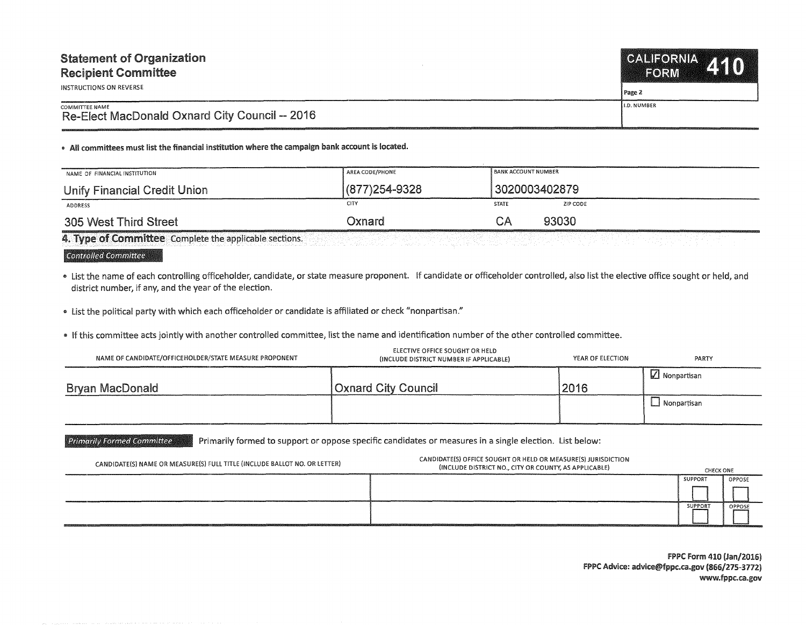| <b>Statement of Organization</b>                                        | CALIFORNIA 140       |
|-------------------------------------------------------------------------|----------------------|
| <b>Recipient Committee</b>                                              | FORM                 |
| INSTRUCTIONS ON REVERSE                                                 | Page 2               |
| <b>COMMITTEE NAME</b><br>Re-Elect MacDonald Oxnard City Council -- 2016 | <b>I</b> I.D. NUMBER |

• All committees must list the financial institution where the campaign bank account is located.

| NAME OF FINANCIAL INSTITUTION | AREA CODE/PHONE   | <b>BANK ACCOUNT NUMBER</b> |
|-------------------------------|-------------------|----------------------------|
| Unify Financial Credit Union  | $(877)254 - 9328$ | 3020003402879              |
| ADDRESS                       | CITY              | ZIP CODE<br><b>STATE</b>   |
| 305 West Third Street         | Oxnard            | 93030<br>СA                |

4. Type of Committee Complete the applicable sections.

## Controlled Committee

" list the name of each controlling officeholder, candidate, or state measure proponent. If candidate or officeholder controlled, also list the elective office sought or held, and district number, if any, and the year of the election.

" list the political party with which each officeholder or candidate is affiliated or check "nonpartisan."

" If this committee acts jointly with another controlled committee, list the name and identification number of the other controlled committee.

| NAME OF CANDIDATE/OFFICEHOLDER/STATE MEASURE PROPONENT | ELECTIVE OFFICE SOUGHT OR HELD<br>(INCLUDE DISTRICT NUMBER IF APPLICABLE) | YEAR OF ELECTION | PARTY               |
|--------------------------------------------------------|---------------------------------------------------------------------------|------------------|---------------------|
| Bryan MacDonald                                        | <b>Oxnard City Council</b>                                                | 2016             | $\Box$ Nonpartisan  |
|                                                        |                                                                           |                  | $\perp$ Nonpartisan |

Primarily Formed Committee Primarily formed to support or oppose specific candidates or measures in a single election. List below:

| CANDIDATE(S) NAME OR MEASURE(S) FULL TITLE (INCLUDE BALLOT NO. OR LETTER) | CANDIDATE(S) OFFICE SOUGHT OR HELD OR MEASURE(S) JURISDICTION<br>(INCLUDE DISTRICT NO., CITY OR COUNTY, AS APPLICABLE) | <b>CHECK ONE</b>                                                       |               |
|---------------------------------------------------------------------------|------------------------------------------------------------------------------------------------------------------------|------------------------------------------------------------------------|---------------|
|                                                                           |                                                                                                                        | <b>SUPPORT</b>                                                         | <b>OPPOSE</b> |
|                                                                           |                                                                                                                        |                                                                        |               |
|                                                                           |                                                                                                                        | SUPPORT<br>ANALLY IN MOVEMENT CONTROL CONTRACTOR CONTRACTOR CONTRACTOR | <b>OPPOSE</b> |
|                                                                           |                                                                                                                        |                                                                        |               |

FPPC Form 410 (Jan/2016) FPPC Advice: advice@fppc.ca.gov (866/275-3772) www.fppc.ca.gov